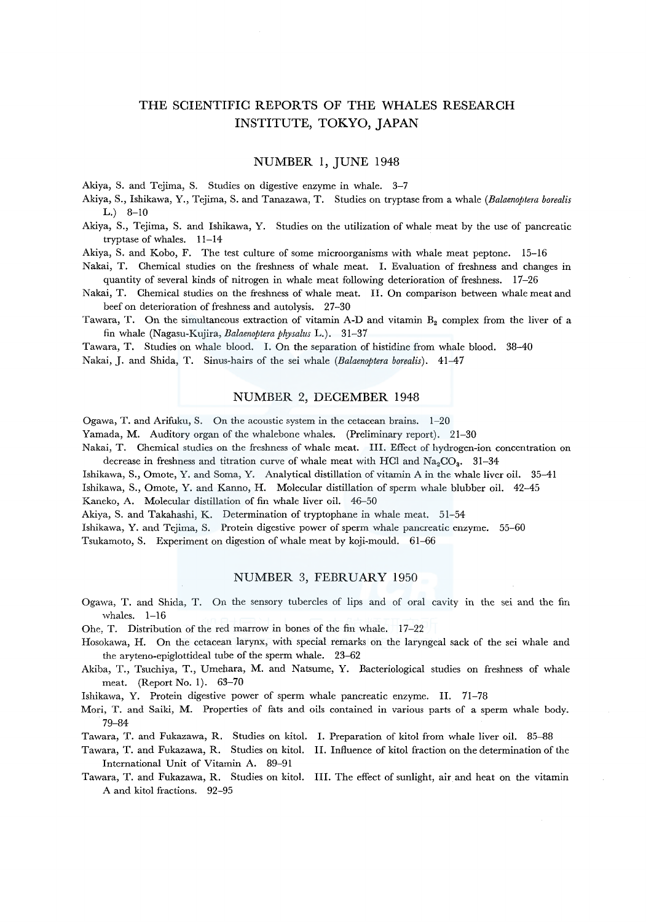# THE SCIENTIFIC REPORTS OF THE WHALES RESEARCH INSTITUTE, TOKYO, JAPAN

## NUMBER 1, JUNE 1948

Akiya, S. and Tejima, S. Studies on digestive enzyme in whale. 3-7

Akiya, S., Ishikawa, Y., Tejima, S. and Tanazawa, T. Studies on tryptase from a whale *(Balaenoptera borealis*   $L.$ ) 8-10

Akiya, S., Tejima, S. and Ishikawa, Y. Studies on the utilization of whale meat by the use of pancreatic tryptase of whales. 11-14

Akiya, S. and Kobo, F. The test culture of some microorganisms with whale meat peptone. 15-16

- Nakai, T. Chemical studies on the freshness of whale meat. I. Evaluation of freshness and changes in quantity of several kinds of nitrogen in whale meat following deterioration of freshness. 17-26
- Nakai, T. Chemical studies on the freshness of whale meat. II. On comparison between whale meat and beef on deterioration of freshness and autolysis. 27-30

Tawara, T. On the simultaneous extraction of vitamin A-D and vitamin  $B_2$  complex from the liver of a fin whale (Nagasu-Kujira, *Balaenoptera physalus* L.). 31-37

Tawara, T. Studies on whale blood. I. On the separation of histidine from whale blood. 38-40 Nakai, J. and Shida, T. Sinus-hairs of the sei whale *(Balaenoptera borealis).* 41-47

#### NUMBER 2, DECEMBER 1948

Ogawa, T. and Arifuku, S. On the acoustic system in the cetacean brains. 1-20

Yamada, M. Auditory organ of the whalebone whales. (Preliminary report). 21-30

Nakai, T. Chemical studies on the freshness of whale meat. III. Effect of hydrogen-ion concentration on decrease in freshness and titration curve of whale meat with HCl and  $Na_{\circ}CO_{3}$ . 31-34

- Ishikawa, S., Omote, Y. and Soma, Y. Analytical distillation of vitamin A in the whale liver oil. 35-41
- Ishikawa, S., Omote, Y. and Kanno, H. Molecular distillation of sperm whale blubber oil. 42-45 Kaneko, A. Molecular distillation of fin whale liver oil. 46-50

Akiya, S. and Takahashi, K. Determination of tryptophane in whale meat. 51-54

Ishikawa, Y. and Tejima, S. Protein digestive power of sperm whale pancreatic enzyme. 55-60

Tsukamoto, S. Experiment on digestion of whale meat by koji-mould. 61-66

#### NUMBER 3, FEBRUARY 1950

- Ogawa, T. and Shida, T. On the sensory tubercles of lips and of oral cavity in the sei and the fin whales. 1-16
- Ohe, T. Distribution of the red marrow in bones of the fin whale. 17-22
- Hosokawa, H. On the cetacean larynx, with special remarks on the laryngeal sack of the sei whale and the aryteno-epiglottideal tube of the sperm whale. 23-62
- Akiba, T., Tsuchiya, T., Umehara, M. and Natsume, Y. Bacteriological studies on freshness of whale meat. (Report No. 1). 63-70
- Ishikawa, Y. Protein digestive power of sperm whale pancreatic enzyme. II. 71-78
- Mori, T. and Saiki, M. Properties of fats and oils contained in various parts of a sperm whale body. 79-84
- Tawara, T. and Fukazawa, R. Studies on kitol. I. Preparation of kitol from whale liver oil. 85--88
- Tawara, T. and Fukazawa, R. Studies on kitol. II. Influence of kitol fraction on the determination of the International Unit of Vitamin A. 89-91
- Tawara, T. and Fukazawa, R. Studies on kitol. III. The effect of sunlight, air and heat on the vitamin A and kitol fractions. 92-95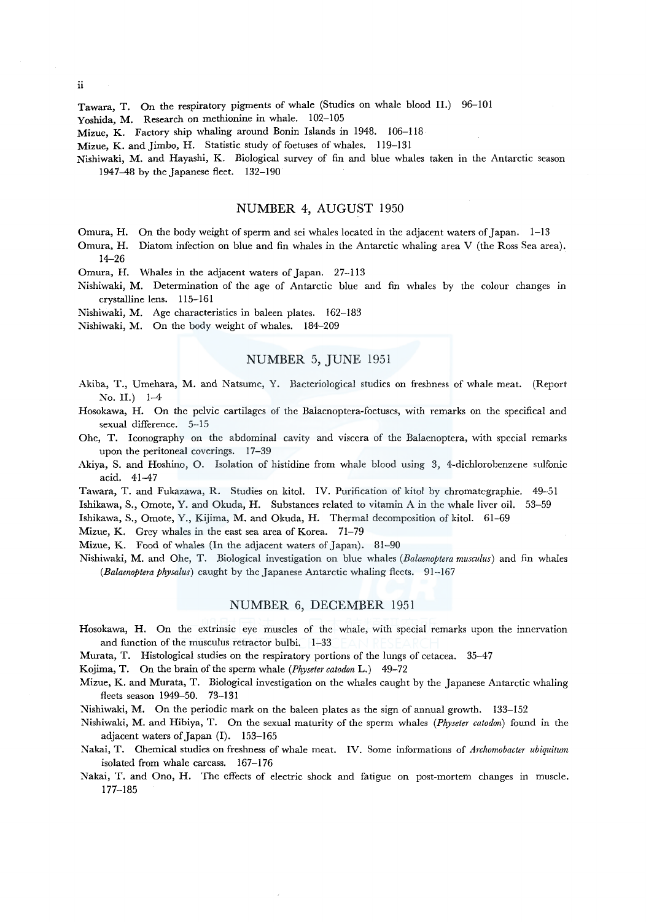Tawara, T. On the respiratory pigments of whale (Studies on whale blood 11.) 96-101

Yoshida, M. Research on methionine in whale. 102-105

Mizue, K. Factory ship whaling around Bonin Islands in 1948. 106-118

Mizue, K. and Jimbo, H. Statistic study of foetuses of whales. 119-131

Nishiwaki, M. and Hayashi, K. Biological survey of fin and blue whales taken in the Antarctic season  $1947-48$  by the Japanese fleet.  $132-190$ 

### NUMBER 4, AUGUST 1950

Omura, H. On the body weight of sperm and sei whales located in the adjacent waters of Japan. 1-13

Omura, H. 14-26 Diatom infection on blue and fin whales in the Antarctic whaling area V (the Ross Sea area).

Omura, H. Whales in the adjacent waters of Japan. 27-113

Nishiwaki, M. Determination of the age of Antarctic blue and fin whales by the colour changes in crystalline lens. 115-161

Nishiwaki, M. Age characteristics in baleen plates. 162-183

Nishiwaki, M. On the body weight of whales. 184-209

## NUMBER 5, JUNE 1951

- Akiba, T., Umehara, M. and Natsume, Y. Bacteriological studies on freshness of whale meat. (Report No. II.) 1-4
- Hosokawa, H. On the pelvic cartilages of the Balaenoptera-foetuses, with remarks on the specifical and sexual difference. 5-15
- Ohe, T. Iconography on the abdominal cavity and viscera of the Balaenoptera, with special remarks upon the peritoneal coverings. 17-39
- Akiya, S. and Hoshino, O. Isolation of histidine from whale blood using 3, 4-dichlorobenzene sulfonic acid. 41-47

Tawara, T. and Fukazawa, R. Studies on kitol. IV. Purification of kitol by chromatcgraphie. 49-51 Ishikawa, S., Omote, Y. and Okuda, H. Substances related to vitamin A in the whale liver oil. 53-59

Ishikawa, S., Omote, Y., Kijima, M. and Okuda, H. Thermal decomposition of kitol. 61-69

Mizue, K. Grey whales in the east sea area of Korea. 71-79

Mizue, K. Food of whales (In the adjacent waters of Japan). 81-90

Nishiwaki, M. and Ohe, T. Biological investigation on blue whales *(Balaenoptera musculus)* and fin whales *(Balaenoptera physalus)* caught by the Japanese Antarctic whaling fleets. 91-167

#### NUMBER 6, DECEMBER 1951

- Hosokawa, H. On the extrinsic eye muscles of the whale, with special remarks upon the innervation and function of the musculus retractor bulbi. 1-33
- Murata, T. Histological studies on the respiratory portions of the lungs of cetacea. 35-47

Kojima, T. On the brain of the sperm whale *(Physeter catodon* L.) 49-72

- Mizue, K. and Murata, T. Biological investigation on the whales caught by the Japanese Antarctic whaling fleets season 1949-50. 73-131
- Nishiwaki, M. On the periodic mark on the baleen plates as the sign of annual growth. 133-152
- :Nishiwaki, M. and Hibiya, T. On the sexual maturity of the sperm whales *(Physeter catodon)* found in the adjacent waters of Japan (1). 153-165
- Nakai, T. Chemical studies on freshness of whale meat. IV. Some informations of *Archomobacter ubiquitum*  isolated from whale carcass. 167-176
- Nakai, T. and Ono, H. The effects of electric shock and fatigue on post-mortem changes in muscle. 177-185

ii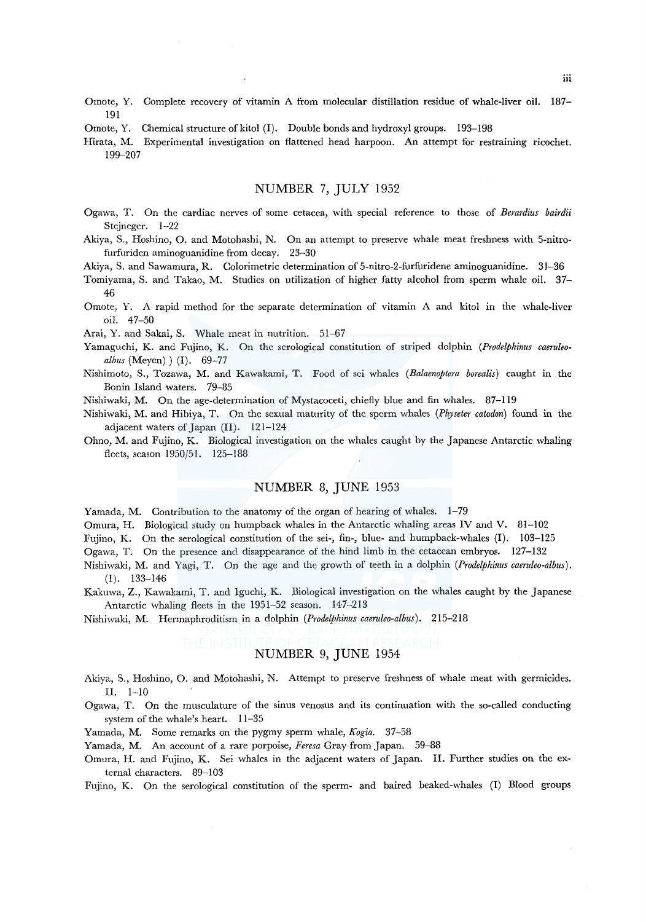- Omote, Y. Complete recovery of vitamin A from molecular distillation residue of whale-liver oil. 187- 191
- Omote, Y. Chemical structure of kitol (I). Double bonds and hydroxyl groups. 193-198
- Hirata, M. Experimental investigation on flattened head harpoon. An attempt for restraining ricochet. 199-207

## NUMBER 7, JULY 1952

- Ogawa, T. On the cardiac nerves of some cetacea, with special reference to those of *Berardius bairdii*  Stejneger. 1-22
- Akiya, S., Hoshino, 0. and Motohashi, N. On an attempt to preserve whale meat freshness with 5-nitrofurfuriden aminoguanidine from decay. 23-30

Akiya, S. and Sawamura, R. Colorimetric determination of 5-nitro-2-furfuridene aminoguanidine. 31-36

- Tomiyama, S. and Takao, M. Studies on utilization of higher fatty alcohol from sperm whale oil. 37- 46
- Omote, Y. A rapid method for the separate determination of vitamin A and kitol in the whale-liver oil. 47-50

Arai, Y. and Sakai, S. Whale meat in nutrition. 51-67

- Yamaguchi, K. and Fujino, K. On the serological constitution of striped dolphin *(Prodelphinus caeruleoalbus* (Meyen) ) (I). 69-77
- Nishimoto, S., Tozawa, M. and Kawakami, T. Food of sei whales *(Balaenoptera borealis)* caught in the Bonin Island waters. 79-85
- Nishiwaki, M. On the age-determination of Mystacoceti, chiefly blue and fin whales. 87-119
- Nishiwaki, M. and Hibiya, T. On the sexual maturity of the sperm whales *(Physeter catodon)* found in the adjacent waters of Japan (II). 121-124
- Ohno, M. and Fujino, K. Biological investigation on the whales caught by the Japanese Antarctic whaling fleets, season 1950/51. 125-188

## NUMBER 8, JUNE 1953

Yamada, M. Contribution to the anatomy of the organ of hearing of whales. 1-79

Omura, H. Biological study on humpback whales in the Antarctic whaling areas IV and V. 81-102

Fujino, K. On the serological constitution of the sei-, fin-, blue- and humpback-whales (1). 103-125

Ogawa, T. On the presence and disappearance of the hind limb in the cetacean embryos. 127-132

- Nishiwaki, M:. and Yagi, T. On the age and the growth of teeth in a dolphin *(Prodelphinus caeruleo-albus).*  (I). 133-146
- Kakuwa, Z., Kawakami, T. and lguchi, K. Biological investigation on the whales caught by the Japanese Antarctic whaling fleets in the 1951-52 season. 147-213

Nishiwaki, M. Hermaphroditism in a dolphin *(Prodelphinus caeruleo-albus).* 215-218

## NUMBER 9, JUNE 1954

- Akiya, S., Hoshino, 0. and Motohashi, N. Attempt to preserve freshness of whale meat with germicides. II. 1-10
- Ogawa, T. On the musculature of the sinus venosus and its continuation with the so-called conducting system of the whale's heart. 11-35

Yamada, M. Some remarks on the pygmy sperm whale, *Kogia.* 37-58

Yamada, M. An account of a rare porpoise, *Feresa* Gray from Japan. 59-88

Omura, H. and Fujino, K. Sei whales in the adjacent waters of Japan. II. Further studies on the external characters. 89-103

Fujino, K. On the serological constitution of the sperm- and haired beaked-whales (I) Blood groups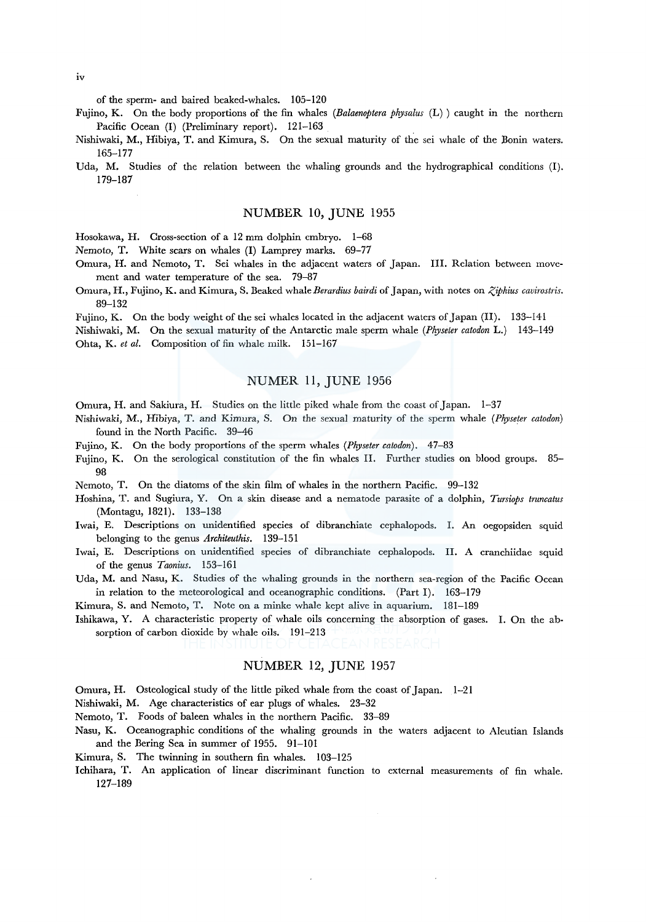iv

of the sperm- and haired beaked-whales. 105-120

- Fujino, K. On the body proportions of the fin whales *(Balaenoptera physalus* (L) ) caught in the northern Pacific Ocean (I) (Preliminary report). 121-163
- Nishiwaki, M., Hibiya, T. and Kimura, S. On the sexual maturity of the sei whale of the Bonin waters. 165-177
- Uda, M. Studies of the relation between the whaling grounds and the hydrographical conditions (I). 179-187

## NUMBER 10, JUNE 1955

Hosokawa, H. Cross-section of a 12 mm dolphin embryo. 1-68

Nemoto, T. White scars on whales (I) Lamprey marks. 69-77

- Omura, H. and Nemoto, T. Sei whales in the adjacent waters of Japan. III. Relation between movement and water temperature of the sea. 79-87
- Omura, H., Fujino, K. and Kimura, S. Beaked whale Berardius bairdi of Japan, with notes on *Ziphius cavirostris*. 89-132
- Fujino, K. On the body weight of the sei whales located in the adjacent waters of Japan (II). 133-141
- Nishiwaki, M. On the sexual maturity of the Antarctic male sperm whale *(Physeter catodon* L.) 143-149 Ohta, K. *et al.* Composition of fin whale milk. 151-167

## NUMER 11, JUNE 1956

- Omura, H. and Sakiura, H. Studies on the little piked whale from the coast of Japan. 1-37
- Nishiwaki, M., Hibiya, T. and Kimura, S. On the sexual maturity of the sperm whale *(Physeter catodon)*  found in the North Pacific. 39-46
- Fujino, K. On the body proportions of the sperm whales *(Physeter catodon).* 47-83
- Fujino, K. On the serological constitution of the fin whales II. Further studies on blood groups. 85- 98
- Nemoto, T. On the diatoms of the skin film of whales in the northern Pacific. 99-132
- Hoshina, T. and Sugiura, Y. On a skin disease and a nematode parasite of a dolphin, *Tursiops truncatus*  (Montagu, 1821). 133-138
- lwai, E. Descriptions on unidentified species of dibranchiate cephalopods. I. An oegopsiden squid belonging to the genus *Architeuthis.* 139-151
- Iwai, E. Descriptions on unidentified species of dibranchiate cephalopods. II. A cranchiidae squid of the genus *Taonius.* 153-161
- Uda, M. and Nasu, K. Studies of the whaling grounds in the northern sea-region of the Pacific Ocean in relation to the meteorological and oceanographic conditions. (Part I). 163-179

Kimura, S. and Nemoto, T. Note on a minke whale kept alive in aquarium. 181-189

Ishikawa, Y. A characteristic property of whale oils concerning the absorption of gases. I. On the absorption of carbon dioxide by whale oils. 191-213

## NUMBER 12, JUNE 1957

Omura, H. Osteological study of the little piked whale from the coast of Japan. 1-21

Nishiwaki, M. Age characteristics of ear plugs of whales. 23-32

- Nemoto, T. Foods of baleen whales in the northern Pacific. 33-89
- Nasu, K. Oceanographic conditions of the whaling grounds in the waters adjacent to Aleutian Islands and the Bering Sea in summer of 1955. 91-101
- Kimura, S. The twinning in southern fin whales. 103-125
- Ichihara, T. An application of linear discriminant function to external measurements of fin whale. 127-189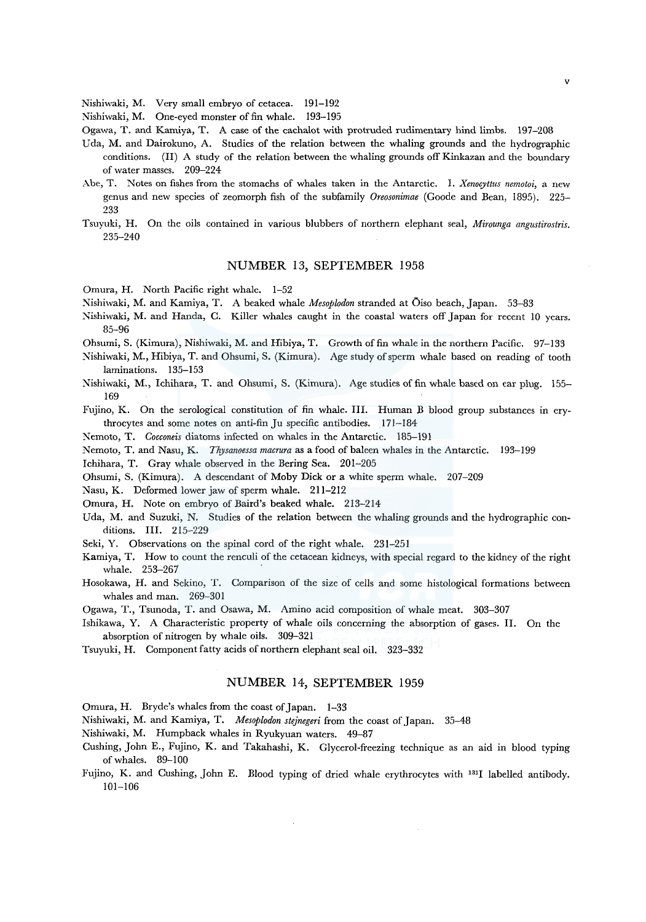Nishiwaki, M. Very small embryo of cetacea. 191-192

Nishiwaki, M. One-eyed monster of fin whale. 193-195

Ogawa, T. and Kamiya, T. A case of the cachalot with protruded rudimentary hind limbs. 197-208

- Uda, M. and Dairokuno, A. Studies of the relation between the whaling grounds and the hydrographic conditions. (II) A study of the relation between the whaling grounds off Kinkazan and the boundary of water masses. 209-224
- Abe, T. Notes on fishes from the stomachs of whales taken in the Antarctic. I. *Xenocyttus nemotoi,* a new genus and new species of zeomorph fish of the subfamily *Oreosonimae* (Goode and Bean, 1895). 225- 233
- Tsuyuki, H. On the oils contained in various blubbers of northern elephant seal, *Mirounga angustirostris.*  235-240

#### NUMBER 13, SEPTEMBER 1958

Omura, H. North Pacific right whale. 1-52

Nishiwaki, M. and Kamiya, T. A beaked whale *Afesoplodon* stranded at Oiso beach, Japan. 53-83

Nishiwaki, M. and Randa, C. Killer whales caught in the coastal waters off Japan for recent 10 years. 85-96

Ohsumi, S. (Kimura), Nishiwaki, M. and Hibiya, T. Growth of fin whale in the northern Pacific. 97-133

- Nishiwaki, M., Hibiya, T. and Ohsumi, S. (Kimura). Age study of sperm whale based on reading of tooth laminations. 135-153
- Nishiwaki, M., Ichihara, T. and Ohsumi, S. (Kimura). Age studies of fin whale based on ear plug. 155- 169

Fujino, K. On the serological constitution of fin whale. III. Human B blood group substances in erythrocytes and some notes on anti-fin Ju specific antibodies. 171-184

Nemoto, T. *Cocconeis* diatoms infected on whales in the Antarctic. 185-191

Nemoto, T. and Nasu, K. *Thysanoessa macrura* as a food of baleen whales in the Antarctic. 193-199

Ichihara, T. Gray whale observed in the Bering Sea. 201-205

Ohsumi, S. (Kimura). A descendant of Moby Dick or a white sperm whale. 207-209

Nasu, K. Deformed lower jaw of sperm whale. 211-212

Omura, H. Note on embryo of Baird's beaked whale. 213-214

- Uda, M. and Suzuki, N. Studies of the relation between the whaling grounds and the hydrographic conditions. III. 215-229
- Seki, Y. Observations on the spinal cord of the right whale. 231-251
- Kamiya, T. How to count the renculi of the cetacean kidneys, with special regard to the kidney of the right whale. 253-267
- Hosokawa, H. and Sekino, T. Comparison of the size of cells and some histological formations between whales and man. 269-301
- Ogawa, T., Tsunoda, T. and Osawa, M. Amino acid composition of whale meat. 303-307
- Ishikawa, Y. A Characteristic property of whale oils concerning the absorption of gases. II. On the absorption of nitrogen by whale oils. 309-321
- Tsuyuki, H. Component fatty acids of northern elephant seal oil. 323-332

#### NUMBER 14, SEPTEMBER 1959

Omura, H. Bryde's whales from the coast of Japan. 1-33

Nishiwaki, M. and Kamiya, T. *Mesoplodon stejnegeri* from the coast of Japan. 35-48

- Nishiwaki, M. Humpback whales in Ryukyuan waters. 49-87
- Cushing, John E., Fujino, K. and Takahashi, K. Glycerol-freezing technique as an aid in blood typing ofwhales. 89-100
- Fujino, K. and Cushing, John E. Blood typing of dried whale erythrocytes with 1311 labelled antibody. 101-106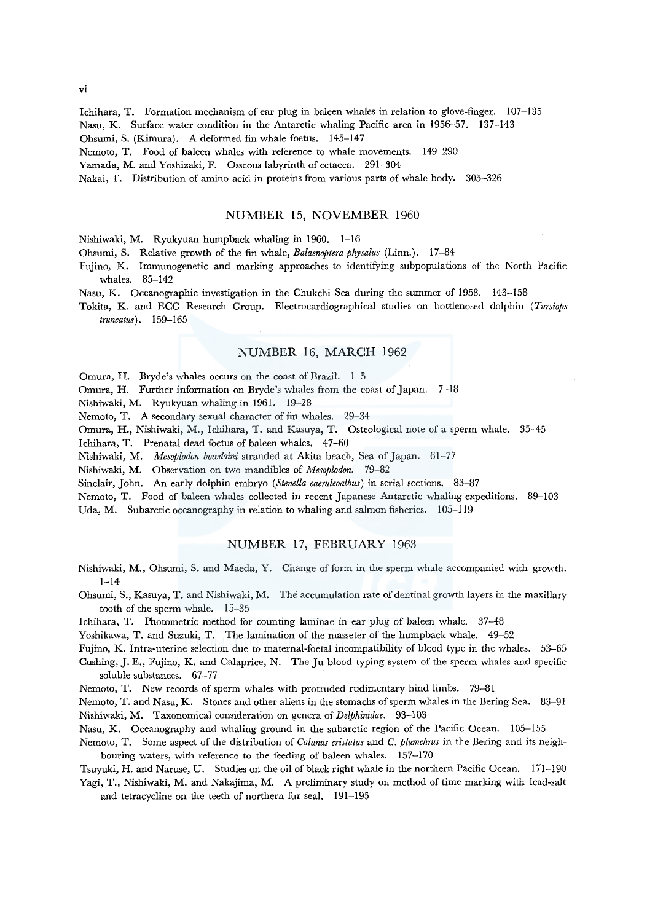Ichihara, T. Formation mechanism of ear plug in baleen whales in relation to glove-finger. 107-135 Nasu, K. Surface water condition in the Antarctic whaling Pacific area in 1956-57. 137-143 Ohsumi, S. (Kimura). A deformed fin whale foetus. 145-147

Nemoto, T. Food of baleen whales with reference to whale movements. 149-290

Yamada, M. and Yoshizaki, F. Osseous labyrinth of cetacea. 291-304

Nakai, T. Distribution of amino acid in proteins from various parts of whale body. 305-326

#### NUMBER 15, NOVEMBER 1960

Nishiwaki, M. Ryukyuan humpback whaling in 1960. 1-16

Ohsumi, S. Relative growth of the fin whale, *Balaenoptera physalus* (Linn.). 17-84

- Fujino, K. Immunogenetic and marking approaches to identifying subpopulations of the Korth Pacific whales. 85-142
- Nasu, K. Oceanographic investigation in the Chukchi Sea during the summer of 1958. 143-158
- Tokita, K. and ECG Research Group. Electrocardiographical studies on bottlenosed dolphin *(Tursiops truncatus).* 159-165

## NUMBER 16, MARCH 1962

Omura, H. Bryde's whales occurs on the coast of Brazil. 1-5

Omura, H. Further information on Bryde's whales from the coast of Japan. 7-18

Nishiwaki, M. Ryukyuan whaling in 1961. 19-28

Nemoto, T. A secondary sexual character of fin whales. 29-34

Omura, H., Nishiwaki, M., Ichihara, T. and Kasuya, T. Osteological note of a sperm whale. 35-45

Ichihara, T. Prenatal dead foetus of baleen whales. 47-60

Nishiwaki, M. *Mesoplodon bowdoini* stranded at Akita beach, Sea of Japan. 61-77

Nishiwaki, M. Observation on two mandibles of *Mesoplodon.* 79-82

Sinclair, John. An early dolphin embryo *(Stene/la caeruleoalbus)* in serial sections. 83-87

Nemoto, T. Food of baleen whales collected in recent Japanese Antarctic whaling expeditions. 89-103

Uda, M. Subarctic oceanography in relation to whaling and salmon fisheries. 105-119

#### NUMBER 17, FEBRUARY 1963

- Nishiwaki, M., Ohsumi, S. and Maeda, Y. Change of form in the sperm whale accompanied with growth.  $1 - 14$
- Ohsumi, S., Kasuya, T. and Nishiwaki, M. The accumulation rate of dentinal growth layers in the maxillary tooth of the sperm whale. 15-35
- Ichihara, T. Photometric method for counting laminae in ear plug of baleen whale. 37-48

Yoshikawa, T. and Suzuki, T. The lamination of the masseter of the humpback whale. 49-52

Fujino, K. Intra-uterine selection due *to* maternal-foetal incompatibility of blood type in the whales. 53-65 Cushing, J.E., Fujino, K. and Calaprice, N. The Ju blood typing system of the sperm whales and specific soluble substances. 67-77

Nemoto, T. New records of sperm whales with protruded rudimentary hind limbs. 79-81

Nemoto, T. and Nasu, K. Stones and other aliens in the stomachs of sperm whales in the Bering Sea. 83-91 Nishiwaki, M. Taxonomical consideration on genera of *Delphinidae.* 93-103

Nasu, K. Oceanography and whaling ground in the subarctic region of the Pacific Ocean. 105-155

Nemoto, T. Some aspect of the distribution of *Calanus cristatus* and *C. plumchrus* in the Bering and its neighbouring waters, with reference to the feeding of baleen whales. 157-170

Tsuyuki, H. and Naruse, U. Studies on the oil of black right whale in the northern Pacific Ocean. 171-190 Yagi, T., Nishiwaki, M. and Nakajima, M. A preliminary study on method of time marking with lead-salt

and tetracycline on the teeth of northern fur seal. 191-195

vi